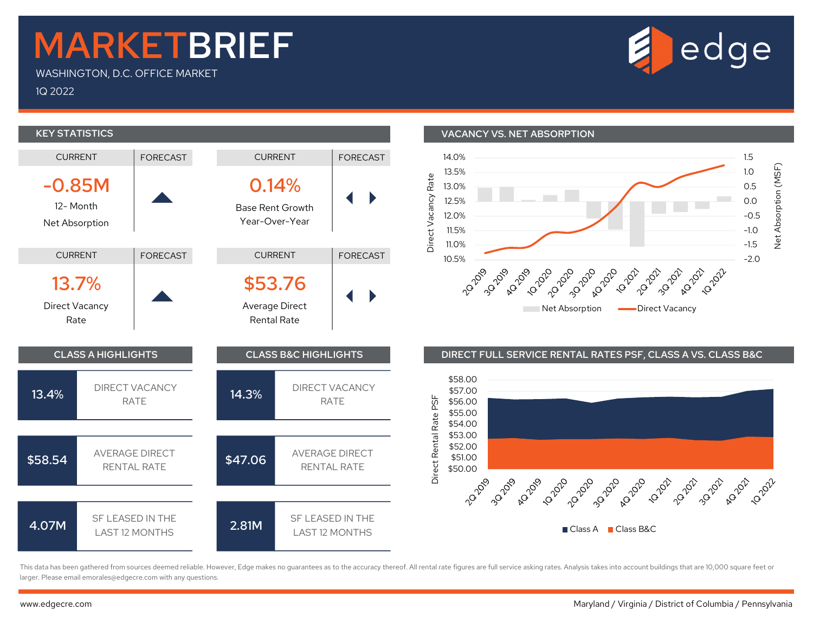## MARKETBRIEF

WASHINGTON, D.C. OFFICE MARKET

1Q 2022



This data has been gathered from sources deemed reliable. However, Edge makes no guarantees as to the accuracy thereof. All rental rate figures are full service asking rates. Analysis takes into account buildings that are larger. Please email emorales@edgecre.com with any questions.